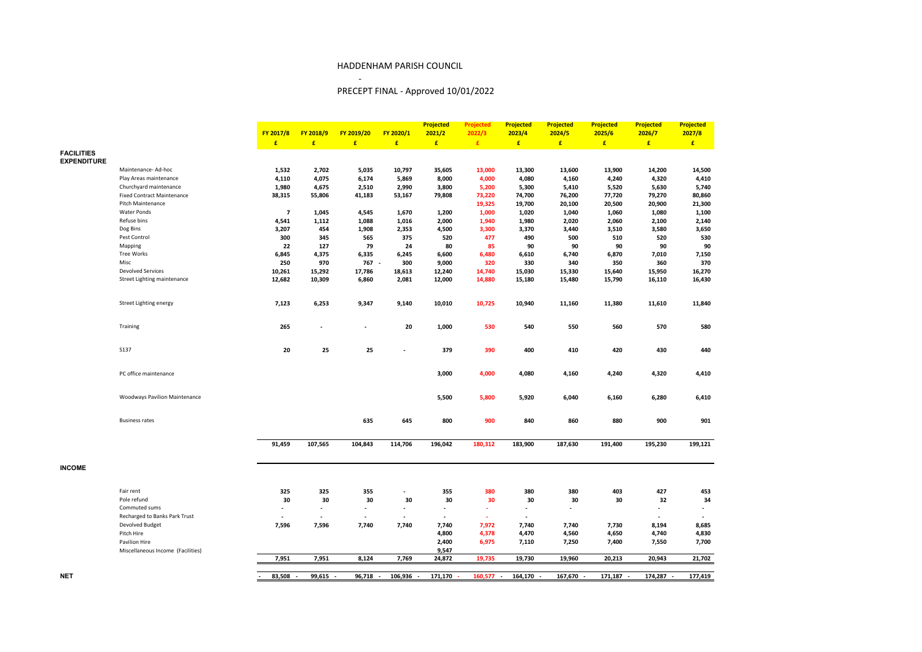## HADDENHAM PARISH COUNCIL

-

# PRECEPT FINAL - Approved 10/01/2022

|                                         |                                      |                |                                      |                |                | <b>Projected</b>         | <b>Projected</b> | <b>Projected</b> | <b>Projected</b>         | <b>Projected</b> | <b>Projected</b> | <b>Projected</b> |
|-----------------------------------------|--------------------------------------|----------------|--------------------------------------|----------------|----------------|--------------------------|------------------|------------------|--------------------------|------------------|------------------|------------------|
|                                         |                                      | FY 2017/8      | FY 2018/9                            | FY 2019/20     | FY 2020/1      | 2021/2                   | 2022/3           | 2023/4           | 2024/5                   | 2025/6           | 2026/7           | 2027/8           |
|                                         |                                      | E              | £                                    | £              | £              | E                        | $\pmb{\epsilon}$ | E                | E                        | E                | $\pmb{\epsilon}$ | $\pmb{\epsilon}$ |
| <b>FACILITIES</b><br><b>EXPENDITURE</b> |                                      |                |                                      |                |                |                          |                  |                  |                          |                  |                  |                  |
|                                         | Maintenance- Ad-hoc                  | 1,532          | 2,702                                | 5,035          | 10,797         | 35,605                   | 13,000           | 13,300           | 13,600                   | 13,900           | 14,200           | 14,500           |
|                                         | Play Areas maintenance               | 4,110          | 4,075                                | 6,174          | 5,869          | 8,000                    | 4,000            | 4,080            | 4,160                    | 4,240            | 4,320            | 4,410            |
|                                         | Churchyard maintenance               | 1,980          | 4,675                                | 2,510          | 2,990          | 3,800                    | 5,200            | 5,300            | 5,410                    | 5,520            | 5,630            | 5,740            |
|                                         | <b>Fixed Contract Maintenance</b>    | 38,315         | 55,806                               | 41,183         | 53,167         | 79,808                   | 73,220           | 74,700           | 76,200                   | 77,720           | 79,270           | 80,860           |
|                                         | Pitch Maintenance                    |                |                                      |                |                |                          | 19,325           | 19,700           | 20,100                   | 20,500           | 20,900           | 21,300           |
|                                         | <b>Water Ponds</b>                   | $\overline{7}$ | 1,045                                | 4,545          | 1,670          | 1,200                    | 1,000            | 1,020            | 1,040                    | 1,060            | 1,080            | 1,100            |
|                                         | Refuse bins                          | 4,541          | 1,112                                | 1,088          | 1,016          | 2,000                    | 1,940            | 1,980            | 2,020                    | 2,060            | 2,100            | 2,140            |
|                                         | Dog Bins                             | 3,207          | 454                                  | 1,908          | 2,353          | 4,500                    | 3,300            | 3,370            | 3,440                    | 3,510            | 3,580            | 3,650            |
|                                         | Pest Control                         | 300            | 345                                  | 565            | 375            | 520                      | 477              | 490              | 500                      | 510              | 520              | 530              |
|                                         | Mapping                              | 22             | 127                                  | 79             | 24             | 80                       | 85               | 90               | 90                       | 90               | 90               | 90               |
|                                         | Tree Works                           | 6,845          | 4,375                                | 6,335          | 6,245          | 6,600                    | 6,480            | 6,610            | 6,740                    | 6,870            | 7,010            | 7,150            |
|                                         | Misc                                 | 250            | 970                                  | $767 -$        | 300            | 9,000                    | 320              | 330              | 340                      | 350              | 360              | 370              |
|                                         | <b>Devolved Services</b>             | 10,261         | 15,292                               | 17,786         | 18,613         | 12,240                   | 14,740           | 15,030           | 15,330                   | 15,640           | 15,950           | 16,270           |
|                                         | Street Lighting maintenance          | 12,682         | 10,309                               | 6,860          | 2,081          | 12,000                   | 14,880           | 15,180           | 15,480                   | 15,790           | 16,110           | 16,430           |
|                                         | Street Lighting energy               | 7,123          | 6,253                                | 9,347          | 9,140          | 10,010                   | 10,725           | 10,940           | 11,160                   | 11,380           | 11,610           | 11,840           |
|                                         | Training                             | 265            |                                      | $\overline{a}$ | 20             | 1,000                    | 530              | 540              | 550                      | 560              | 570              | 580              |
|                                         | <b>S137</b>                          | 20             | 25                                   | 25             | L,             | 379                      | 390              | 400              | 410                      | 420              | 430              | 440              |
|                                         | PC office maintenance                |                |                                      |                |                | 3,000                    | 4,000            | 4,080            | 4,160                    | 4,240            | 4,320            | 4,410            |
|                                         | <b>Woodways Pavilion Maintenance</b> |                |                                      |                |                | 5,500                    | 5,800            | 5,920            | 6,040                    | 6,160            | 6,280            | 6,410            |
|                                         | <b>Business rates</b>                |                |                                      | 635            | 645            | 800                      | 900              | 840              | 860                      | 880              | 900              | 901              |
|                                         |                                      | 91,459         | 107,565                              | 104,843        | 114,706        | 196,042                  | 180,312          | 183,900          | 187,630                  | 191,400          | 195,230          | 199,121          |
| <b>INCOME</b>                           |                                      |                |                                      |                |                |                          |                  |                  |                          |                  |                  |                  |
|                                         | Fair rent                            | 325            | 325                                  | 355            | $\blacksquare$ | 355                      | 380              | 380              | 380                      | 403              | 427              | 453              |
|                                         | Pole refund                          | 30             | 30                                   | 30             | 30             | 30                       | 30               | 30               | 30                       | 30               | 32               | 34               |
|                                         | Commuted sums                        | $\overline{a}$ | $\blacksquare$                       | $\blacksquare$ | $\blacksquare$ | $\overline{\phantom{a}}$ | ÷.               | $\overline{a}$   | $\overline{\phantom{a}}$ |                  |                  |                  |
|                                         | Recharged to Banks Park Trust        | $\blacksquare$ | $\blacksquare$                       | $\sim$         | $\blacksquare$ | $\blacksquare$           | ÷.               | $\overline{a}$   |                          |                  |                  |                  |
|                                         | Devolved Budget                      | 7,596          | 7,596                                | 7,740          | 7,740          | 7,740                    | 7,972            | 7,740            | 7,740                    | 7,730            | 8,194            | 8,685            |
|                                         | Pitch Hire                           |                |                                      |                |                | 4,800                    | 4,378            | 4,470            | 4,560                    | 4,650            | 4,740            | 4,830            |
|                                         | Pavilion Hire                        |                |                                      |                |                | 2,400                    | 6,975            | 7,110            | 7,250                    | 7,400            | 7,550            | 7,700            |
|                                         | Miscellaneous Income (Facilities)    |                |                                      |                |                | 9,547                    |                  |                  |                          |                  |                  |                  |
|                                         |                                      | 7,951          | 7,951                                | 8,124          | 7,769          | 24,872                   | 19,735           | 19,730           | 19,960                   | 20,213           | 20,943           | 21,702           |
|                                         |                                      |                |                                      |                |                |                          |                  |                  |                          |                  |                  |                  |
| NET                                     |                                      | 83,508         | 99,615 -<br>$\overline{\phantom{a}}$ | 96,718 -       | 106,936 -      | 171,170                  | 160,577 -        | 164,170 -        | 167,670                  | 171,187 -        | 174,287 -        | 177,419          |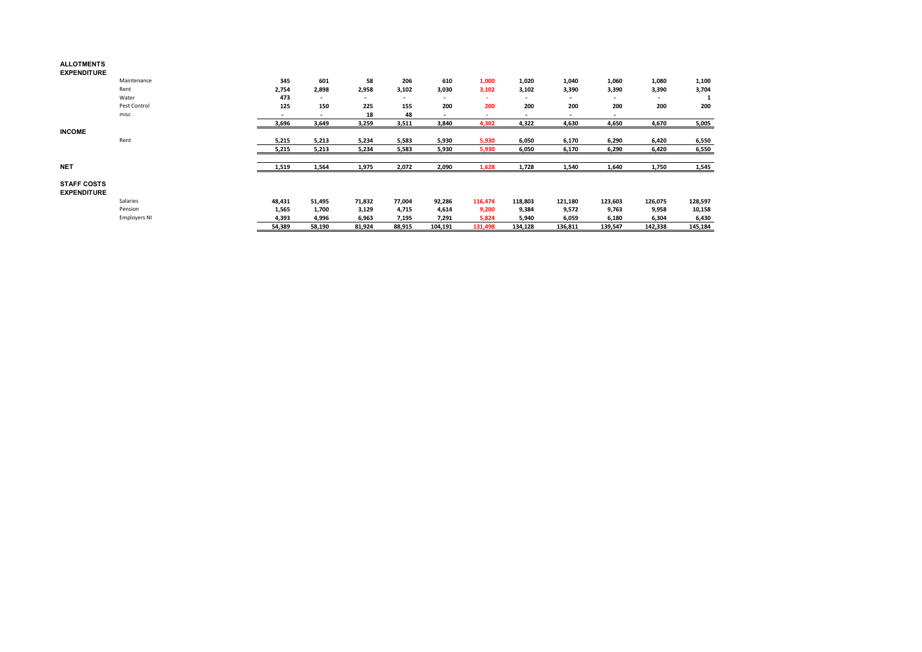#### **ALLOTMENTS EXPENDITURE**

 Maintenance **345 601 58 206 610 1,000 1,020 1,040 1,060 1,080 1,100** Rent **2,754 2,898 2,958 3,102 3,030 3,102 3,102 3,390 3,390 3,390 3,704** Water **473 - - - - - - - - - 1** Pest Control **125 150 225 155 200 200 200 200 200 200 200** misc **- 18** 48<br> **3,649** 3,259 3,511 **- -**   $-$  4,322  $\frac{-}{4,630}$ **- 3,696 3,649 3,259 3,511 3,840 4,302 4,322 4,630 4,650 4,670 5,005 INCOME** Rent **5,215 5,213 5,234 5,583 5,930 5,930 6,050 6,170 6,290 6,420 6,550 5,215 5,213 5,234 5,583 5,930 5,930 6,050 6,170 6,290 6,420 6,550 NET 1,519 1,564 1,975 2,072 2,090 1,628 1,728 1,540 1,640 1,750 1,545 STAFF COSTS EXPENDITURE** Salaries **48,431 51,495 71,832 77,004 92,286 116,474 118,803 121,180 123,603 126,075 128,597** Pension **1,565 1,700 3,129 4,715 4,614 9,200 9,384 9,572 9,763 9,958 10,158** Employers NI **4,393 4,996 6,963 7,195 7,291 5,824 5,940 6,059 6,180 6,304 6,430 54,389 58,190 81,924 88,915 104,191 131,498 134,128 136,811 139,547 142,338 145,184**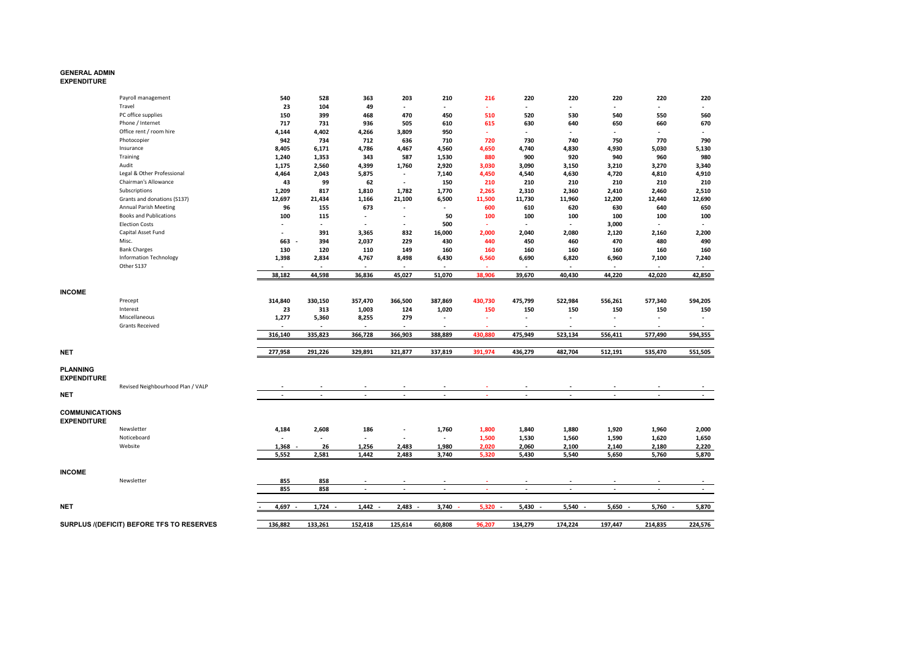# **GENERAL ADMIN EXPENDITURE**

|                                             | Payroll management                        | 540                      | 528                      | 363                      | 203                      | 210                      | 216       | 220                      | 220                      | 220                      | 220                      | 220            |
|---------------------------------------------|-------------------------------------------|--------------------------|--------------------------|--------------------------|--------------------------|--------------------------|-----------|--------------------------|--------------------------|--------------------------|--------------------------|----------------|
|                                             | Travel                                    | 23                       | 104                      | 49                       | $\overline{a}$           | $\overline{\phantom{a}}$ | $\sim$    | $\sim$                   | $\overline{\phantom{a}}$ | $\overline{\phantom{a}}$ | $\overline{a}$           | $\overline{a}$ |
|                                             | PC office supplies                        | 150                      | 399                      | 468                      | 470                      | 450                      | 510       | 520                      | 530                      | 540                      | 550                      | 560            |
|                                             | Phone / Internet                          | 717                      | 731                      | 936                      | 505                      | 610                      | 615       | 630                      | 640                      | 650                      | 660                      | 670            |
|                                             | Office rent / room hire                   | 4,144                    | 4,402                    | 4,266                    | 3,809                    | 950                      |           | $\blacksquare$           |                          |                          |                          |                |
|                                             | Photocopier                               | 942                      | 734                      | 712                      | 636                      | 710                      | 720       | 730                      | 740                      | 750                      | 770                      | 790            |
|                                             | Insurance                                 | 8,405                    | 6,171                    | 4,786                    | 4,467                    | 4,560                    | 4,650     | 4,740                    | 4,830                    | 4,930                    | 5,030                    | 5,130          |
|                                             | Training                                  | 1,240                    | 1,353                    | 343                      | 587                      | 1,530                    | 880       | 900                      | 920                      | 940                      | 960                      | 980            |
|                                             | Audit                                     | 1,175                    | 2,560                    | 4,399                    | 1,760                    | 2,920                    | 3,030     | 3,090                    | 3,150                    | 3,210                    | 3,270                    | 3,340          |
|                                             | Legal & Other Professional                | 4,464                    | 2,043                    | 5,875                    | $\overline{\phantom{a}}$ | 7,140                    | 4,450     | 4,540                    | 4,630                    | 4,720                    | 4,810                    | 4,910          |
|                                             | Chairman's Allowance                      | 43                       | 99                       | 62                       | $\overline{\phantom{a}}$ | 150                      | 210       | 210                      | 210                      | 210                      | 210                      | 210            |
|                                             | Subscriptions                             | 1,209                    | 817                      | 1,810                    | 1,782                    | 1,770                    | 2,265     | 2,310                    | 2,360                    | 2,410                    | 2,460                    | 2,510          |
|                                             | Grants and donations (S137)               | 12,697                   | 21,434                   | 1,166                    | 21,100                   | 6,500                    | 11,500    | 11,730                   | 11,960                   | 12,200                   | 12,440                   | 12,690         |
|                                             | <b>Annual Parish Meeting</b>              | 96                       | 155                      | 673                      | $\overline{\phantom{a}}$ |                          | 600       | 610                      | 620                      | 630                      | 640                      | 650            |
|                                             | <b>Books and Publications</b>             | 100                      | 115                      | $\blacksquare$           | $\overline{a}$           | 50                       | 100       | 100                      | 100                      | 100                      | 100                      | 100            |
|                                             | <b>Election Costs</b>                     | $\overline{a}$           | $\sim$                   | $\sim$                   | $\overline{a}$           | 500                      | ÷.        | $\blacksquare$           | $\blacksquare$           | 3,000                    | $\overline{a}$           |                |
|                                             | Capital Asset Fund                        | $\overline{a}$           | 391                      | 3,365                    | 832                      | 16,000                   | 2,000     | 2,040                    | 2,080                    | 2,120                    | 2,160                    | 2,200          |
|                                             | Misc.                                     | 663                      | 394                      | 2,037                    | 229                      | 430                      | 440       | 450                      | 460                      | 470                      | 480                      | 490            |
|                                             | <b>Bank Charges</b>                       | 130                      | 120                      | 110                      | 149                      | 160                      | 160       | 160                      | 160                      | 160                      | 160                      | 160            |
|                                             | Information Technology                    | 1,398                    | 2,834                    | 4,767                    | 8,498                    | 6,430                    | 6,560     | 6,690                    | 6,820                    | 6,960                    | 7,100                    | 7,240          |
|                                             | Other S137                                |                          |                          |                          |                          |                          |           | $\overline{\phantom{0}}$ |                          |                          |                          |                |
|                                             |                                           | 38,182                   | 44,598                   | 36,836                   | 45,027                   | 51,070                   | 38.906    | 39,670                   | 40,430                   | 44,220                   | 42,020                   | 42,850         |
|                                             |                                           |                          |                          |                          |                          |                          |           |                          |                          |                          |                          |                |
| <b>INCOME</b>                               |                                           |                          |                          |                          |                          |                          |           |                          |                          |                          |                          |                |
|                                             | Precept                                   | 314,840                  | 330,150                  | 357,470                  | 366,500                  | 387,869                  | 430,730   | 475,799                  | 522,984                  | 556,261                  | 577,340                  | 594,205        |
|                                             | Interest                                  | 23                       | 313                      | 1,003                    | 124                      | 1,020                    | 150       | 150                      | 150                      | 150                      | 150                      | 150            |
|                                             | Miscellaneous                             | 1,277                    | 5,360                    | 8,255                    | 279                      | $\blacksquare$           | $\sim$    | $\overline{\phantom{a}}$ | $\overline{\phantom{a}}$ | $\overline{a}$           | ٠                        | $\blacksquare$ |
|                                             | <b>Grants Received</b>                    | $\blacksquare$           | $\overline{\phantom{a}}$ | $\blacksquare$           | $\blacksquare$           | $\blacksquare$           |           | $\overline{\phantom{a}}$ |                          |                          | ٠                        |                |
|                                             |                                           | 316,140                  | 335,823                  | 366,728                  | 366,903                  | 388,889                  | 430.880   | 475,949                  | 523,134                  | 556,411                  | 577,490                  | 594,355        |
|                                             |                                           |                          |                          |                          |                          |                          |           |                          |                          |                          |                          |                |
| <b>NET</b>                                  |                                           | 277,958                  | 291,226                  | 329,891                  | 321,877                  | 337,819                  | 391.974   | 436,279                  | 482,704                  | 512,191                  | 535,470                  | 551,505        |
| <b>PLANNING</b><br><b>EXPENDITURE</b>       |                                           |                          |                          |                          |                          |                          |           |                          |                          |                          |                          |                |
|                                             | Revised Neighbourhood Plan / VALP         |                          |                          |                          |                          |                          |           |                          |                          |                          |                          |                |
| NET                                         |                                           | $\overline{\phantom{a}}$ | $\overline{\phantom{a}}$ | $\overline{\phantom{a}}$ | $\overline{\phantom{a}}$ | $\overline{\phantom{a}}$ |           | $\overline{\phantom{a}}$ | $\overline{\phantom{a}}$ | - 1                      | $\overline{\phantom{a}}$ | $\sim$         |
| <b>COMMUNICATIONS</b><br><b>EXPENDITURE</b> |                                           |                          |                          |                          |                          |                          |           |                          |                          |                          |                          |                |
|                                             | Newsletter                                | 4,184                    | 2,608                    | 186                      | $\overline{\phantom{a}}$ | 1,760                    | 1,800     | 1,840                    | 1,880                    | 1,920                    | 1,960                    | 2,000          |
|                                             | Noticeboard                               |                          | $\blacksquare$           | $\blacksquare$           |                          | $\blacksquare$           | 1,500     | 1,530                    | 1,560                    | 1,590                    | 1,620                    | 1,650          |
|                                             | Website                                   | 1,368                    | 26                       | 1,256                    | 2,483                    | 1,980                    | 2,020     | 2,060                    | 2,100                    | 2,140                    | 2,180                    | 2,220          |
|                                             |                                           | 5,552                    | 2,581                    | 1,442                    | 2,483                    | 3,740                    | 5,320     | 5,430                    | 5,540                    | 5,650                    | 5,760                    | 5,870          |
|                                             |                                           |                          |                          |                          |                          |                          |           |                          |                          |                          |                          |                |
| <b>INCOME</b>                               |                                           |                          |                          |                          |                          |                          |           |                          |                          |                          |                          |                |
|                                             | Newsletter                                | 855                      | 858                      |                          |                          |                          |           |                          |                          |                          |                          |                |
|                                             |                                           | 855                      | 858                      | $\sim$                   | $\blacksquare$           | $\sim$                   | $\sim$    | $\overline{\phantom{a}}$ | $\blacksquare$           | $\overline{\phantom{a}}$ | $\overline{\phantom{a}}$ | $\sim$         |
|                                             |                                           |                          |                          |                          |                          |                          |           |                          |                          |                          |                          |                |
| <b>NET</b>                                  |                                           | 4.697                    | $1.724 -$                | $1.442 -$                | $2,483 -$                | 3,740                    | $5.320 -$ | $5.430 -$                | $5.540 -$                | $5,650 -$                | $5,760 -$                | 5,870          |
|                                             |                                           |                          |                          |                          |                          |                          |           |                          |                          |                          |                          |                |
|                                             | SURPLUS /(DEFICIT) BEFORE TFS TO RESERVES | 136,882                  | 133,261                  | 152,418                  | 125,614                  | 60,808                   | 96.207    | 134,279                  | 174,224                  | 197,447                  | 214,835                  | 224,576        |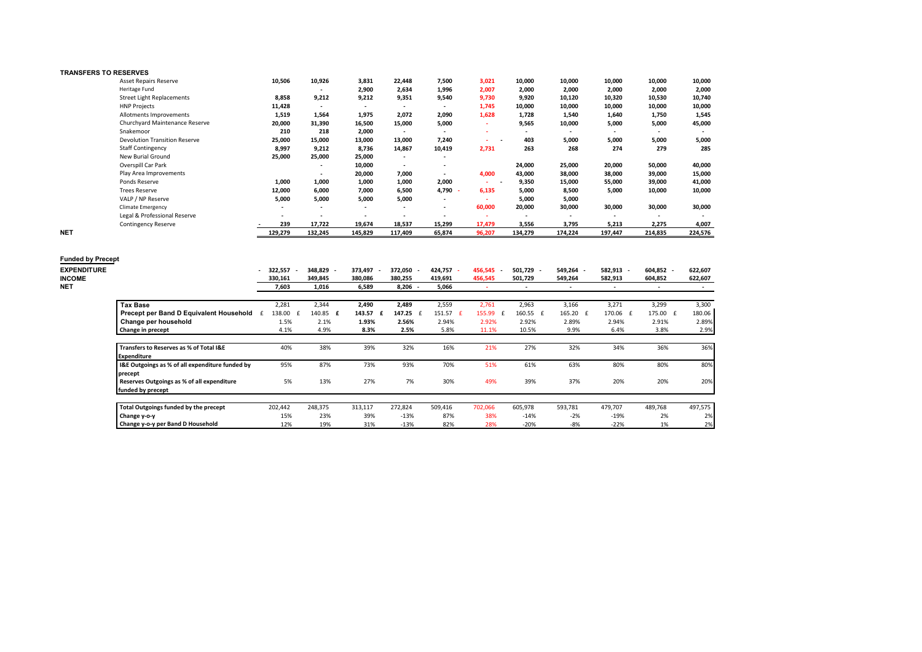### **TRANSFERS TO RESERVES**

|            | <b>Asset Repairs Reserve</b>         | 10,506                   | 10,926                   | 3,831                    | 22,448                   | 7,500                    | 3,021      | 10,000                   | 10,000                   | 10,000                   | 10,000                   | 10,000  |
|------------|--------------------------------------|--------------------------|--------------------------|--------------------------|--------------------------|--------------------------|------------|--------------------------|--------------------------|--------------------------|--------------------------|---------|
|            | Heritage Fund                        |                          | $\overline{\phantom{a}}$ | 2,900                    | 2,634                    | 1,996                    | 2,007      | 2,000                    | 2,000                    | 2,000                    | 2,000                    | 2,000   |
|            | <b>Street Light Replacements</b>     | 8,858                    | 9,212                    | 9,212                    | 9,351                    | 9,540                    | 9,730      | 9,920                    | 10,120                   | 10,320                   | 10,530                   | 10,740  |
|            | <b>HNP Projects</b>                  | 11,428                   | $\overline{\phantom{a}}$ | $\overline{\phantom{a}}$ | $\overline{\phantom{a}}$ | $\overline{\phantom{a}}$ | 1,745      | 10,000                   | 10,000                   | 10,000                   | 10,000                   | 10,000  |
|            | Allotments Improvements              | 1,519                    | 1,564                    | 1,975                    | 2,072                    | 2,090                    | 1,628      | 1,728                    | 1,540                    | 1,640                    | 1,750                    | 1,545   |
|            | Churchyard Maintenance Reserve       | 20,000                   | 31,390                   | 16,500                   | 15,000                   | 5,000                    |            | 9,565                    | 10,000                   | 5,000                    | 5,000                    | 45,000  |
|            | Snakemoor                            | 210                      | 218                      | 2,000                    | $\overline{\phantom{a}}$ | $\overline{\phantom{a}}$ |            | $\overline{\phantom{a}}$ | $\overline{\phantom{a}}$ | $\overline{\phantom{a}}$ | $\overline{\phantom{a}}$ |         |
|            | <b>Devolution Transition Reserve</b> | 25,000                   | 15,000                   | 13,000                   | 13,000                   | 7,240                    | . .        | 403                      | 5,000                    | 5,000                    | 5,000                    | 5,000   |
|            | <b>Staff Contingency</b>             | 8,997                    | 9,212                    | 8,736                    | 14,867                   | 10,419                   | 2,731      | 263                      | 268                      | 274                      | 279                      | 285     |
|            | New Burial Ground                    | 25,000                   | 25,000                   | 25,000                   | $\overline{\phantom{a}}$ |                          |            |                          |                          |                          |                          |         |
|            | Overspill Car Park                   |                          | $\overline{\phantom{a}}$ | 10,000                   | $\overline{\phantom{a}}$ |                          |            | 24,000                   | 25,000                   | 20,000                   | 50,000                   | 40,000  |
|            | Play Area Improvements               |                          | $\overline{\phantom{a}}$ | 20,000                   | 7,000                    |                          | 4,000      | 43,000                   | 38,000                   | 38,000                   | 39,000                   | 15,000  |
|            | Ponds Reserve                        | 1,000                    | 1,000                    | 1,000                    | 1,000                    | 2,000                    | <b>COL</b> | 9,350                    | 15,000                   | 55,000                   | 39,000                   | 41,000  |
|            | <b>Trees Reserve</b>                 | 12,000                   | 6,000                    | 7,000                    | 6,500                    | 4,790                    | 6,135      | 5,000                    | 8,500                    | 5,000                    | 10,000                   | 10,000  |
|            | VALP / NP Reserve                    | 5,000                    | 5,000                    | 5,000                    | 5,000                    | $\overline{\phantom{a}}$ |            | 5,000                    | 5,000                    |                          |                          |         |
|            | <b>Climate Emergency</b>             | $\overline{\phantom{a}}$ | $\overline{\phantom{a}}$ | $\overline{\phantom{a}}$ | $\overline{\phantom{a}}$ | $\overline{\phantom{a}}$ | 60,000     | 20,000                   | 30,000                   | 30,000                   | 30,000                   | 30,000  |
|            | Legal & Professional Reserve         |                          |                          |                          |                          |                          |            |                          | $\overline{\phantom{a}}$ |                          |                          |         |
|            | <b>Contingency Reserve</b>           | 239                      | 17,722                   | 19,674                   | 18,537                   | 15,299                   | 17,479     | 3,556                    | 3,795                    | 5,213                    | 2,275                    | 4,007   |
| <b>NET</b> |                                      | 129,279                  | 132,245                  | 145,829                  | 117,409                  | 65,874                   | 96,207     | 134,279                  | 174,224                  | 197,447                  | 214,835                  | 224,576 |

| <b>Funded by Precept</b><br><b>EXPENDITURE</b><br><b>INCOME</b><br><b>NET</b> |                                                 | 322,557<br>330,161<br>7,603 | 348,829<br>349,845<br>1,016 | 373,497<br>380,086<br>6,589 | 372,050 -<br>380,255<br>8,206 | 424,757<br>419,691<br>5,066 | 456,545<br>456,545 | 501.729 -<br>501,729 | 549,264 -<br>549,264 | 582,913 -<br>582,913 | 604,852 -<br>604,852 | 622,607<br>622,607 |
|-------------------------------------------------------------------------------|-------------------------------------------------|-----------------------------|-----------------------------|-----------------------------|-------------------------------|-----------------------------|--------------------|----------------------|----------------------|----------------------|----------------------|--------------------|
|                                                                               | <b>Tax Base</b>                                 | 2,281                       | 2,344                       | 2,490                       | 2,489                         | 2,559                       | 2,761              | 2,963                | 3,166                | 3,271                | 3,299                | 3,300              |
|                                                                               | Precept per Band D Equivalent Household         | 138.00                      | 140.85 £                    | 143.57                      | 147.25                        | 151.57                      | 155.99             | 160.55 £             | 165.20 £             | 170.06 £             | 175.00 £             | 180.06             |
|                                                                               | Change per household                            | 1.5%                        | 2.1%                        | 1.93%                       | 2.56%                         | 2.94%                       | 2.92%              | 2.92%                | 2.89%                | 2.94%                | 2.91%                | 2.89%              |
|                                                                               | Change in precept                               | 4.1%                        | 4.9%                        | 8.3%                        | 2.5%                          | 5.8%                        | 11.1%              | 10.5%                | 9.9%                 | 6.4%                 | 3.8%                 | 2.9%               |
|                                                                               |                                                 |                             |                             |                             |                               |                             |                    |                      |                      |                      |                      |                    |
|                                                                               | Transfers to Reserves as % of Total I&E         | 40%                         | 38%                         | 39%                         | 32%                           | 16%                         | 21%                | 27%                  | 32%                  | 34%                  | 36%                  | 36%                |
|                                                                               | <b>Expenditure</b>                              |                             |                             |                             |                               |                             |                    |                      |                      |                      |                      |                    |
|                                                                               | I&E Outgoings as % of all expenditure funded by | 95%                         | 87%                         | 73%                         | 93%                           | 70%                         | 51%                | 61%                  | 63%                  | 80%                  | 80%                  | 80%                |
|                                                                               | precept                                         |                             |                             |                             |                               |                             |                    |                      |                      |                      |                      |                    |
|                                                                               | Reserves Outgoings as % of all expenditure      | 5%                          | 13%                         | 27%                         | 7%                            | 30%                         | 49%                | 39%                  | 37%                  | 20%                  | 20%                  | 20%                |
|                                                                               | funded by precept                               |                             |                             |                             |                               |                             |                    |                      |                      |                      |                      |                    |
|                                                                               |                                                 |                             |                             |                             |                               |                             |                    |                      |                      |                      |                      |                    |
|                                                                               | Total Outgoings funded by the precept           | 202,442                     | 248,375                     | 313,117                     | 272,824                       | 509,416                     | 702,066            | 605,978              | 593,781              | 479,707              | 489,768              | 497,575            |
|                                                                               | Change y-o-y                                    | 15%                         | 23%                         | 39%                         | $-13%$                        | 87%                         | 38%                | $-14%$               | $-2%$                | $-19%$               | 2%                   | 2%                 |
|                                                                               | Change y-o-y per Band D Household               | 12%                         | 19%                         | 31%                         | $-13%$                        | 82%                         | 28%                | $-20%$               | $-8%$                | $-22%$               | 1%                   | 2%                 |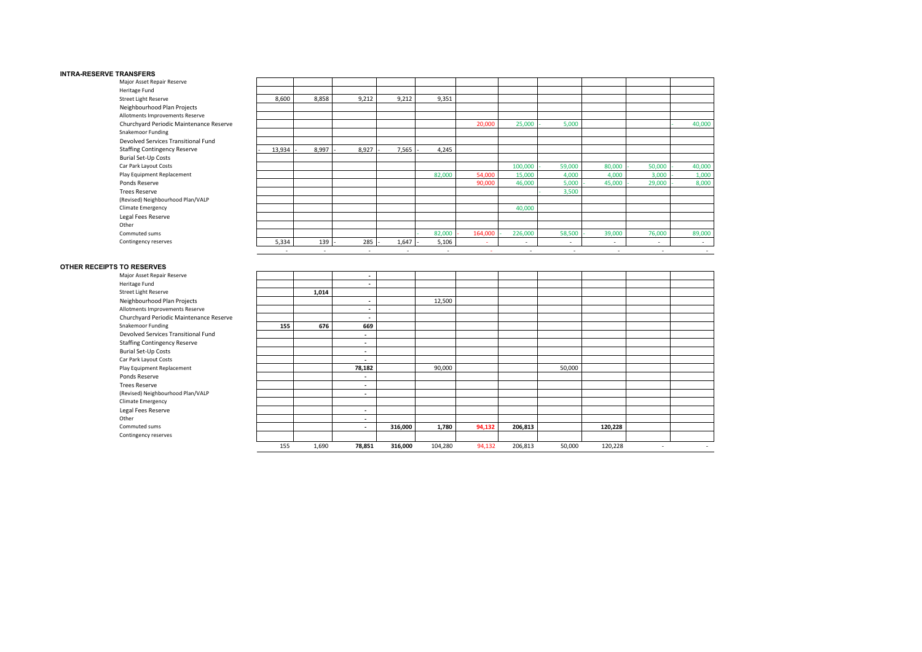#### **INTRA-RESERVE TRANSFERS**

| Major Asset Repair Reserve              |        |       |                          |        |                          |         |         |                          |        |        |        |
|-----------------------------------------|--------|-------|--------------------------|--------|--------------------------|---------|---------|--------------------------|--------|--------|--------|
| Heritage Fund                           |        |       |                          |        |                          |         |         |                          |        |        |        |
| Street Light Reserve                    | 8,600  | 8,858 | 9,212                    | 9,212  | 9,351                    |         |         |                          |        |        |        |
| Neighbourhood Plan Projects             |        |       |                          |        |                          |         |         |                          |        |        |        |
| Allotments Improvements Reserve         |        |       |                          |        |                          |         |         |                          |        |        |        |
| Churchyard Periodic Maintenance Reserve |        |       |                          |        |                          | 20,000  | 25,000  | 5,000                    |        |        | 40,000 |
| Snakemoor Funding                       |        |       |                          |        |                          |         |         |                          |        |        |        |
| Devolved Services Transitional Fund     |        |       |                          |        |                          |         |         |                          |        |        |        |
| <b>Staffing Contingency Reserve</b>     | 13,934 | 8,997 | 8,927                    | 7,565  | 4,245                    |         |         |                          |        |        |        |
| <b>Burial Set-Up Costs</b>              |        |       |                          |        |                          |         |         |                          |        |        |        |
| Car Park Layout Costs                   |        |       |                          |        |                          |         | 100,000 | 59,000                   | 80,000 | 50,000 | 40,000 |
| Play Equipment Replacement              |        |       |                          |        | 82,000                   | 54,000  | 15,000  | 4,000                    | 4,000  | 3,000  | 1,000  |
| Ponds Reserve                           |        |       |                          |        |                          | 90,000  | 46,000  | 5,000                    | 45,000 | 29,000 | 8,000  |
| <b>Trees Reserve</b>                    |        |       |                          |        |                          |         |         | 3,500                    |        |        |        |
| (Revised) Neighbourhood Plan/VALP       |        |       |                          |        |                          |         |         |                          |        |        |        |
| Climate Emergency                       |        |       |                          |        |                          |         | 40,000  |                          |        |        |        |
| Legal Fees Reserve                      |        |       |                          |        |                          |         |         |                          |        |        |        |
| Other                                   |        |       |                          |        |                          |         |         |                          |        |        |        |
| Commuted sums                           |        |       |                          |        | 82,000                   | 164,000 | 226,000 | 58,500                   | 39,000 | 76,000 | 89,000 |
| Contingency reserves                    | 5,334  | 139   | 285                      | 1,647  | 5,106                    | ٠       | $\sim$  | $\overline{\phantom{a}}$ |        | $\sim$ |        |
|                                         |        | ٠     | $\overline{\phantom{a}}$ | $\sim$ | $\overline{\phantom{a}}$ |         | ٠       | ٠                        | $\,$   | ٠.     |        |

### **OTHER RECEIPTS TO RESERVES**

| Major Asset Repair Reserve              |     |       | $\blacksquare$           |         |         |        |         |        |         |   |        |
|-----------------------------------------|-----|-------|--------------------------|---------|---------|--------|---------|--------|---------|---|--------|
| Heritage Fund                           |     |       | $\overline{\phantom{a}}$ |         |         |        |         |        |         |   |        |
| Street Light Reserve                    |     | 1,014 |                          |         |         |        |         |        |         |   |        |
| Neighbourhood Plan Projects             |     |       | $\overline{\phantom{a}}$ |         | 12,500  |        |         |        |         |   |        |
| Allotments Improvements Reserve         |     |       | $\overline{\phantom{a}}$ |         |         |        |         |        |         |   |        |
| Churchyard Periodic Maintenance Reserve |     |       | $\overline{\phantom{a}}$ |         |         |        |         |        |         |   |        |
| Snakemoor Funding                       | 155 | 676   | 669                      |         |         |        |         |        |         |   |        |
| Devolved Services Transitional Fund     |     |       | $\blacksquare$           |         |         |        |         |        |         |   |        |
| <b>Staffing Contingency Reserve</b>     |     |       | ۰.                       |         |         |        |         |        |         |   |        |
| <b>Burial Set-Up Costs</b>              |     |       | $\overline{\phantom{a}}$ |         |         |        |         |        |         |   |        |
| Car Park Layout Costs                   |     |       | ۰.                       |         |         |        |         |        |         |   |        |
| Play Equipment Replacement              |     |       | 78,182                   |         | 90,000  |        |         | 50,000 |         |   |        |
| Ponds Reserve                           |     |       | $\overline{\phantom{a}}$ |         |         |        |         |        |         |   |        |
| <b>Trees Reserve</b>                    |     |       | $\overline{\phantom{a}}$ |         |         |        |         |        |         |   |        |
| (Revised) Neighbourhood Plan/VALP       |     |       | $\overline{\phantom{a}}$ |         |         |        |         |        |         |   |        |
| Climate Emergency                       |     |       |                          |         |         |        |         |        |         |   |        |
| Legal Fees Reserve                      |     |       | $\overline{\phantom{a}}$ |         |         |        |         |        |         |   |        |
| Other                                   |     |       | ۰.                       |         |         |        |         |        |         |   |        |
| Commuted sums                           |     |       | ۰.                       | 316,000 | 1,780   | 94,132 | 206,813 |        | 120,228 |   |        |
| Contingency reserves                    |     |       |                          |         |         |        |         |        |         |   |        |
|                                         | 155 | 1,690 | 78,851                   | 316,000 | 104,280 | 94,132 | 206,813 | 50,000 | 120,228 | ٠ | $\sim$ |